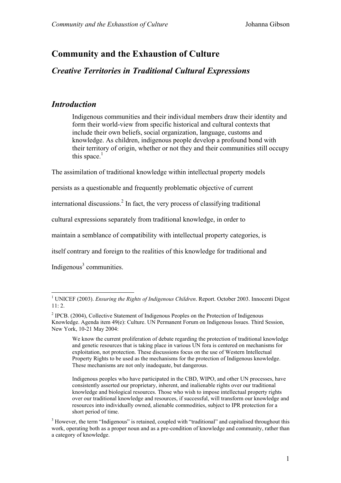# **Community and the Exhaustion of Culture**

# *Creative Territories in Traditional Cultural Expressions*

# *Introduction*

Indigenous communities and their individual members draw their identity and form their world-view from specific historical and cultural contexts that include their own beliefs, social organization, language, customs and knowledge. As children, indigenous people develop a profound bond with their territory of origin, whether or not they and their communities still occupy this space. $<sup>1</sup>$ </sup>

The assimilation of traditional knowledge within intellectual property models

persists as a questionable and frequently problematic objective of current

international discussions.<sup>[2](#page-0-1)</sup> In fact, the very process of classifying traditional

cultural expressions separately from traditional knowledge, in order to

maintain a semblance of compatibility with intellectual property categories, is

itself contrary and foreign to the realities of this knowledge for traditional and

Indigenous<sup>[3](#page-0-2)</sup> communities.

<span id="page-0-0"></span><sup>&</sup>lt;sup>1</sup> UNICEF (2003). *Ensuring the Rights of Indigenous Children*. Report. October 2003. Innocenti Digest 11: 2.

<span id="page-0-1"></span> $2^2$  IPCB. (2004), Collective Statement of Indigenous Peoples on the Protection of Indigenous Knowledge. Agenda item 49(e): Culture. UN Permanent Forum on Indigenous Issues. Third Session, New York, 10-21 May 2004:

We know the current proliferation of debate regarding the protection of traditional knowledge and genetic resources that is taking place in various UN fora is centered on mechanisms for exploitation, not protection. These discussions focus on the use of Western Intellectual Property Rights to be used as the mechanisms for the protection of Indigenous knowledge. These mechanisms are not only inadequate, but dangerous.

Indigenous peoples who have participated in the CBD, WIPO, and other UN processes, have consistently asserted our proprietary, inherent, and inalienable rights over our traditional knowledge and biological resources. Those who wish to impose intellectual property rights over our traditional knowledge and resources, if successful, will transform our knowledge and resources into individually owned, alienable commodities, subject to IPR protection for a short period of time.

<span id="page-0-2"></span><sup>&</sup>lt;sup>3</sup> However, the term "Indigenous" is retained, coupled with "traditional" and capitalised throughout this work, operating both as a proper noun and as a pre-condition of knowledge and community, rather than a category of knowledge.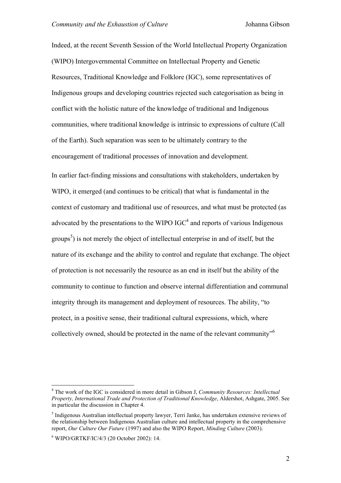Indeed, at the recent Seventh Session of the World Intellectual Property Organization (WIPO) Intergovernmental Committee on Intellectual Property and Genetic Resources, Traditional Knowledge and Folklore (IGC), some representatives of Indigenous groups and developing countries rejected such categorisation as being in conflict with the holistic nature of the knowledge of traditional and Indigenous communities, where traditional knowledge is intrinsic to expressions of culture (Call of the Earth). Such separation was seen to be ultimately contrary to the encouragement of traditional processes of innovation and development.

In earlier fact-finding missions and consultations with stakeholders, undertaken by WIPO, it emerged (and continues to be critical) that what is fundamental in the context of customary and traditional use of resources, and what must be protected (as advocated by the presentations to the WIPO  $IGC<sup>4</sup>$  and reports of various Indigenous groups<sup>5</sup>[\)](#page-1-1) is not merely the object of intellectual enterprise in and of itself, but the nature of its exchange and the ability to control and regulate that exchange. The object of protection is not necessarily the resource as an end in itself but the ability of the community to continue to function and observe internal differentiation and communal integrity through its management and deployment of resources. The ability, "to protect, in a positive sense, their traditional cultural expressions, which, where collectively owned, should be protected in the name of the relevant community"[6](#page-1-2)

<span id="page-1-0"></span><sup>4</sup> The work of the IGC is considered in more detail in Gibson J, *Community Resources: Intellectual Property, International Trade and Protection of Traditional Knowledge*, Aldershot, Ashgate, 2005. See in particular the discussion in Chapter 4.

<span id="page-1-1"></span><sup>&</sup>lt;sup>5</sup> Indigenous Australian intellectual property lawyer, Terri Janke, has undertaken extensive reviews of the relationship between Indigenous Australian culture and intellectual property in the comprehensive report, *Our Culture Our Future* (1997) and also the WIPO Report, *Minding Culture* (2003).

<span id="page-1-2"></span><sup>6</sup> WIPO/GRTKF/IC/4/3 (20 October 2002): 14.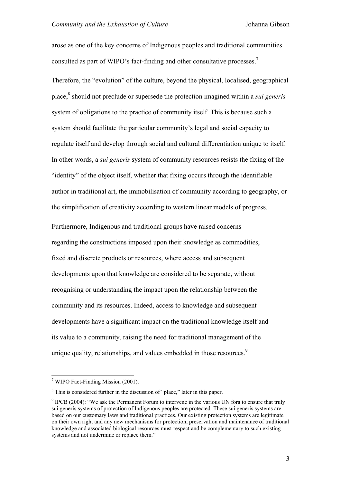arose as one of the key concerns of Indigenous peoples and traditional communities consulted as part of WIPO's fact-finding and other consultative processes.<sup>7</sup>

Therefore, the "evolution" of the culture, beyond the physical, localised, geographical place,<sup>[8](#page-2-1)</sup> should not preclude or supersede the protection imagined within a *sui generis* system of obligations to the practice of community itself. This is because such a system should facilitate the particular community's legal and social capacity to regulate itself and develop through social and cultural differentiation unique to itself. In other words, a *sui generis* system of community resources resists the fixing of the "identity" of the object itself, whether that fixing occurs through the identifiable author in traditional art, the immobilisation of community according to geography, or the simplification of creativity according to western linear models of progress.

Furthermore, Indigenous and traditional groups have raised concerns regarding the constructions imposed upon their knowledge as commodities, fixed and discrete products or resources, where access and subsequent developments upon that knowledge are considered to be separate, without recognising or understanding the impact upon the relationship between the community and its resources. Indeed, access to knowledge and subsequent developments have a significant impact on the traditional knowledge itself and its value to a community, raising the need for traditional management of the unique quality, relationships, and values embedded in those resources.<sup>[9](#page-2-2)</sup>

<span id="page-2-0"></span><sup>&</sup>lt;sup>7</sup> WIPO Fact-Finding Mission (2001).

<span id="page-2-1"></span><sup>&</sup>lt;sup>8</sup> This is considered further in the discussion of "place," later in this paper.

<span id="page-2-2"></span> $9$  IPCB (2004): "We ask the Permanent Forum to intervene in the various UN fora to ensure that truly sui generis systems of protection of Indigenous peoples are protected. These sui generis systems are based on our customary laws and traditional practices. Our existing protection systems are legitimate on their own right and any new mechanisms for protection, preservation and maintenance of traditional knowledge and associated biological resources must respect and be complementary to such existing systems and not undermine or replace them."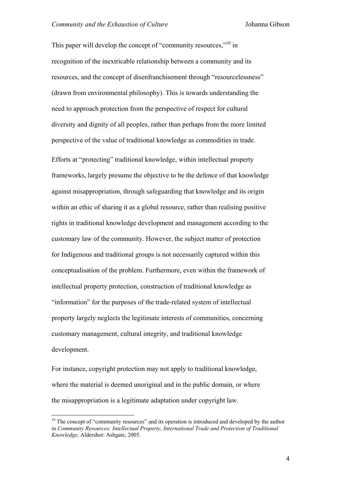This paper will develop the concept of "community resources,"<sup>10</sup> in recognition of the inextricable relationship between a community and its resources, and the concept of disenfranchisement through "resourcelessness" (drawn from environmental philosophy). This is towards understanding the need to approach protection from the perspective of respect for cultural diversity and dignity of all peoples, rather than perhaps from the more limited perspective of the value of traditional knowledge as commodities in trade. Efforts at "protecting" traditional knowledge, within intellectual property frameworks, largely presume the objective to be the defence of that knowledge against misappropriation, through safeguarding that knowledge and its origin within an ethic of sharing it as a global resource, rather than realising positive rights in traditional knowledge development and management according to the customary law of the community. However, the subject matter of protection for Indigenous and traditional groups is not necessarily captured within this conceptualisation of the problem. Furthermore, even within the framework of intellectual property protection, construction of traditional knowledge as "information" for the purposes of the trade-related system of intellectual property largely neglects the legitimate interests of communities, concerning customary management, cultural integrity, and traditional knowledge development.

For instance, copyright protection may not apply to traditional knowledge, where the material is deemed unoriginal and in the public domain, or where the misappropriation is a legitimate adaptation under copyright law.

<span id="page-3-0"></span><sup>&</sup>lt;sup>10</sup> The concept of "community resources" and its operation is introduced and developed by the author in *Community Resources: Intellectual Property, International Trade and Protection of Traditional Knowledge*, Aldershot: Ashgate, 2005.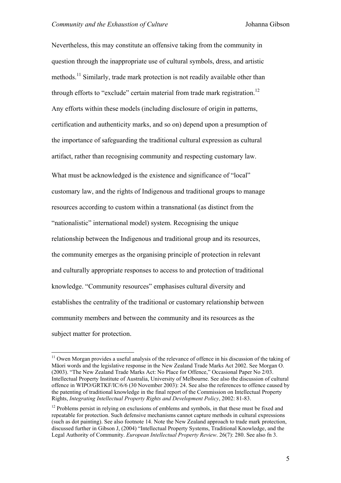$\overline{a}$ 

Nevertheless, this may constitute an offensive taking from the community in question through the inappropriate use of cultural symbols, dress, and artistic methods.<sup>11</sup> Similarly, trade mark protection is not readily available other than through efforts to "exclude" certain material from trade mark registration.<sup>[12](#page-4-1)</sup> Any efforts within these models (including disclosure of origin in patterns, certification and authenticity marks, and so on) depend upon a presumption of the importance of safeguarding the traditional cultural expression as cultural artifact, rather than recognising community and respecting customary law.

What must be acknowledged is the existence and significance of "local" customary law, and the rights of Indigenous and traditional groups to manage resources according to custom within a transnational (as distinct from the "nationalistic" international model) system. Recognising the unique relationship between the Indigenous and traditional group and its resources, the community emerges as the organising principle of protection in relevant and culturally appropriate responses to access to and protection of traditional knowledge. "Community resources" emphasises cultural diversity and establishes the centrality of the traditional or customary relationship between community members and between the community and its resources as the subject matter for protection.

<span id="page-4-0"></span> $11$  Owen Morgan provides a useful analysis of the relevance of offence in his discussion of the taking of Māori words and the legislative response in the New Zealand Trade Marks Act 2002. See Morgan O. (2003). "The New Zealand Trade Marks Act: No Place for Offence," Occasional Paper No 2/03. Intellectual Property Institute of Australia, University of Melbourne. See also the discussion of cultural offence in WIPO/GRTKF/IC/6/6 (30 November 2003): 24. See also the references to offence caused by the patenting of traditional knowledge in the final report of the Commission on Intellectual Property Rights, *Integrating Intellectual Property Rights and Development Policy*, 2002: 81-83.

<span id="page-4-1"></span><sup>&</sup>lt;sup>12</sup> Problems persist in relying on exclusions of emblems and symbols, in that these must be fixed and repeatable for protection. Such defensive mechanisms cannot capture methods in cultural expressions (such as dot painting). See also footnote 14. Note the New Zealand approach to trade mark protection, discussed further in Gibson J, (2004) "Intellectual Property Systems, Traditional Knowledge, and the Legal Authority of Community. *European Intellectual Property Review*. 26(7): 280. See also fn 3.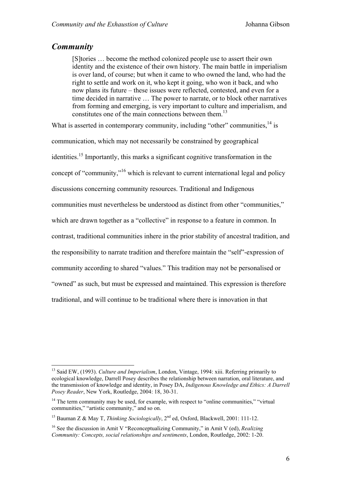### *Community*

 $\overline{a}$ 

[S]tories … become the method colonized people use to assert their own identity and the existence of their own history. The main battle in imperialism is over land, of course; but when it came to who owned the land, who had the right to settle and work on it, who kept it going, who won it back, and who now plans its future – these issues were reflected, contested, and even for a time decided in narrative … The power to narrate, or to block other narratives from forming and emerging, is very important to culture and imperialism, and constitutes one of the main connections between them.<sup>[13](#page-5-0)</sup>

What is asserted in contemporary community, including "other" communities,  $14$  is

communication, which may not necessarily be constrained by geographical

identities.<sup>15</sup> Importantly, this marks a significant cognitive transformation in the

concept of "community,"[16 w](#page-5-3)hich is relevant to current international legal and policy

discussions concerning community resources. Traditional and Indigenous

communities must nevertheless be understood as distinct from other "communities,"

which are drawn together as a "collective" in response to a feature in common. In

contrast, traditional communities inhere in the prior stability of ancestral tradition, and

the responsibility to narrate tradition and therefore maintain the "self"-expression of

community according to shared "values." This tradition may not be personalised or

"owned" as such, but must be expressed and maintained. This expression is therefore

traditional, and will continue to be traditional where there is innovation in that

<span id="page-5-0"></span><sup>13</sup> Said EW, (1993). *Culture and Imperialism*, London, Vintage, 1994: xiii. Referring primarily to ecological knowledge, Darrell Posey describes the relationship between narration, oral literature, and the transmission of knowledge and identity, in Posey DA, *Indigenous Knowledge and Ethics: A Darrell Posey Reader*, New York, Routledge, 2004: 18, 30-31.

<span id="page-5-1"></span><sup>&</sup>lt;sup>14</sup> The term community may be used, for example, with respect to "online communities," "virtual communities," "artistic community," and so on.

<span id="page-5-2"></span><sup>&</sup>lt;sup>15</sup> Bauman Z & May T, *Thinking Sociologically*,  $2<sup>nd</sup>$  ed, Oxford, Blackwell, 2001: 111-12.

<span id="page-5-3"></span><sup>16</sup> See the discussion in Amit V "Reconceptualizing Community," in Amit V (ed), *Realizing Community: Concepts, social relationships and sentiments*, London, Routledge, 2002: 1-20.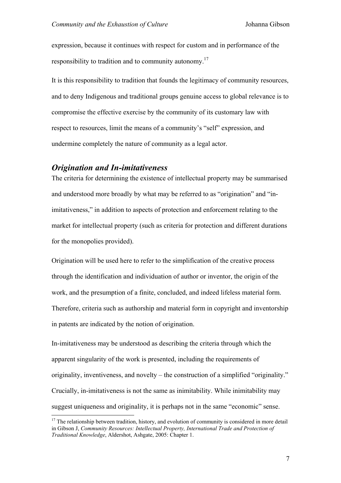expression, because it continues with respect for custom and in performance of the responsibility to tradition and to community autonomy.<sup>17</sup>

It is this responsibility to tradition that founds the legitimacy of community resources, and to deny Indigenous and traditional groups genuine access to global relevance is to compromise the effective exercise by the community of its customary law with respect to resources, limit the means of a community's "self" expression, and undermine completely the nature of community as a legal actor.

#### *Origination and In-imitativeness*

 $\overline{a}$ 

The criteria for determining the existence of intellectual property may be summarised and understood more broadly by what may be referred to as "origination" and "inimitativeness," in addition to aspects of protection and enforcement relating to the market for intellectual property (such as criteria for protection and different durations for the monopolies provided).

Origination will be used here to refer to the simplification of the creative process through the identification and individuation of author or inventor, the origin of the work, and the presumption of a finite, concluded, and indeed lifeless material form. Therefore, criteria such as authorship and material form in copyright and inventorship in patents are indicated by the notion of origination.

In-imitativeness may be understood as describing the criteria through which the apparent singularity of the work is presented, including the requirements of originality, inventiveness, and novelty – the construction of a simplified "originality." Crucially, in-imitativeness is not the same as inimitability. While inimitability may suggest uniqueness and originality, it is perhaps not in the same "economic" sense.

<span id="page-6-0"></span> $17$  The relationship between tradition, history, and evolution of community is considered in more detail in Gibson J, *Community Resources: Intellectual Property, International Trade and Protection of Traditional Knowledge*, Aldershot, Ashgate, 2005: Chapter 1.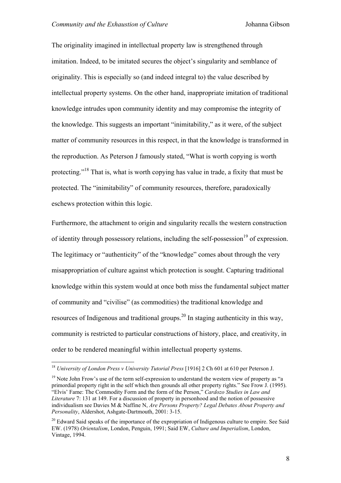The originality imagined in intellectual property law is strengthened through imitation. Indeed, to be imitated secures the object's singularity and semblance of originality. This is especially so (and indeed integral to) the value described by intellectual property systems. On the other hand, inappropriate imitation of traditional knowledge intrudes upon community identity and may compromise the integrity of the knowledge. This suggests an important "inimitability," as it were, of the subject matter of community resources in this respect, in that the knowledge is transformed in the reproduction. As Peterson J famously stated, "What is worth copying is worth protecting."18 That is, what is worth copying has value in trade, a fixity that must be protected. [The](#page-7-0) "inimitability" of community resources, therefore, paradoxically eschews protection within this logic.

Furthermore, the attachment to origin and singularity recalls the western construction of identity through possessory relations, including the self-possession<sup>19</sup> of expression. The legitimacy or "authenticity" of the "knowledge" comes about through the very misappropriation of culture against which protection is sought. Capturing traditional knowledge within this system would at once both miss the fundamental subject matter of community and "civilise" (as commodities) the traditional knowledge and resources of Indigenous and traditional groups.[20](#page-7-2) In staging authenticity in this way, community is restricted to particular constructions of history, place, and creativity, in order to be rendered meaningful within intellectual property systems.

<span id="page-7-0"></span><sup>18</sup> *University of London Press v University Tutorial Press* [1916] 2 Ch 601 at 610 per Peterson J.

<span id="page-7-1"></span> $19$  Note John Frow's use of the term self-expression to understand the western view of property as "a primordial property right in the self which then grounds all other property rights." See Frow J. (1995). "Elvis' Fame: The Commodity Form and the form of the Person," *Cardozo Studies in Law and Literature* 7: 131 at 149. For a discussion of property in personhood and the notion of possessive individualism see Davies M & Naffine N, *Are Persons Property? Legal Debates About Property and Personality*, Aldershot, Ashgate-Dartmouth, 2001: 3-15.

<span id="page-7-2"></span><sup>&</sup>lt;sup>20</sup> Edward Said speaks of the importance of the expropriation of Indigenous culture to empire. See Said EW. (1978) *Orientalism*, London, Penguin, 1991; Said EW, *Culture and Imperialism*, London, Vintage, 1994.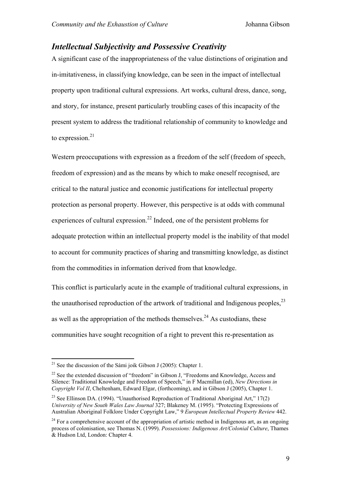# *Intellectual Subjectivity and Possessive Creativity*

A significant case of the inappropriateness of the value distinctions of origination and in-imitativeness, in classifying knowledge, can be seen in the impact of intellectual property upon traditional cultural expressions. Art works, cultural dress, dance, song, and story, for instance, present particularly troubling cases of this incapacity of the present system to address the traditional relationship of community to knowledge and to expression. $21$ 

Western preoccupations with expression as a freedom of the self (freedom of speech, freedom of expression) and as the means by which to make oneself recognised, are critical to the natural justice and economic justifications for intellectual property protection as personal property. However, this perspective is at odds with communal experiences of cultural expression.<sup>22</sup> Indeed, one of the persistent problems for adequate protection within an intellectual property model is the inability of that model to account for community practices of sharing and transmitting knowledge, as distinct from the commodities in information derived from that knowledge.

This conflict is particularly acute in the example of traditional cultural expressions, in the unauthorised reproduction of the artwork of traditional and Indigenous peoples,  $^{23}$ as well as the appropriation of the methods themselves.<sup>24</sup> As custodians, these communities have sought recognition of a right to prevent this re-presentation as

<span id="page-8-0"></span><sup>&</sup>lt;sup>21</sup> See the discussion of the Sámi joik Gibson J (2005): Chapter 1.

<span id="page-8-1"></span><sup>&</sup>lt;sup>22</sup> See the extended discussion of "freedom" in Gibson J, "Freedoms and Knowledge, Access and Silence: Traditional Knowledge and Freedom of Speech," in F Macmillan (ed), *New Directions in Copyright Vol II*, Cheltenham, Edward Elgar, (forthcoming), and in Gibson J (2005), Chapter 1.

<span id="page-8-2"></span><sup>&</sup>lt;sup>23</sup> See Ellinson DA. (1994). "Unauthorised Reproduction of Traditional Aboriginal Art,"  $17(2)$ *University of New South Wales Law Journal* 327; Blakeney M. (1995). "Protecting Expressions of Australian Aboriginal Folklore Under Copyright Law," 9 *European Intellectual Property Review* 442.

<span id="page-8-3"></span> $24$  For a comprehensive account of the appropriation of artistic method in Indigenous art, as an ongoing process of colonisation, see Thomas N. (1999). *Possessions: Indigenous Art/Colonial Culture*, Thames & Hudson Ltd, London: Chapter 4.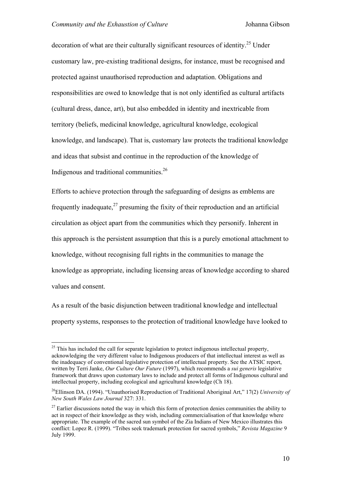$\overline{a}$ 

decoration of what are their culturally significant resources of identity.[25 U](#page-9-0)nder customary law, pre-existing traditional designs, for instance, must be recognised and protected against unauthorised reproduction and adaptation. Obligations and responsibilities are owed to knowledge that is not only identified as cultural artifacts (cultural dress, dance, art), but also embedded in identity and inextricable from territory (beliefs, medicinal knowledge, agricultural knowledge, ecological knowledge, and landscape). That is, customary law protects the traditional knowledge and ideas that subsist and continue in the reproduction of the knowledge of Indigenous and traditional communities.<sup>26</sup>

Efforts to achieve protection through the safeguarding of designs as emblems are frequently inadequate,  $27$  presuming the fixity of their reproduction and an artificial circulation as object apart from the communities which they personify. Inherent in this approach is the persistent assumption that this is a purely emotional attachment to knowledge, without recognising full rights in the communities to manage the knowledge as appropriate, including licensing areas of knowledge according to shared values and consent.

As a result of the basic disjunction between traditional knowledge and intellectual property systems, responses to the protection of traditional knowledge have looked to

<span id="page-9-0"></span> $25$  This has included the call for separate legislation to protect indigenous intellectual property, acknowledging the very different value to Indigenous producers of that intellectual interest as well as the inadequacy of conventional legislative protection of intellectual property. See the ATSIC report, written by Terri Janke, *Our Culture Our Future* (1997), which recommends a *sui generis* legislative framework that draws upon customary laws to include and protect all forms of Indigenous cultural and intellectual property, including ecological and agricultural knowledge (Ch 18).

<span id="page-9-1"></span><sup>26</sup>Ellinson DA. (1994). "Unauthorised Reproduction of Traditional Aboriginal Art," 17(2) *University of New South Wales Law Journal* 327: 331.

<span id="page-9-2"></span> $27$  Earlier discussions noted the way in which this form of protection denies communities the ability to act in respect of their knowledge as they wish, including commercialisation of that knowledge where appropriate. The example of the sacred sun symbol of the Zia Indians of New Mexico illustrates this conflict: Lopez R. (1999). "Tribes seek trademark protection for sacred symbols," *Revista Magazine* 9 July 1999.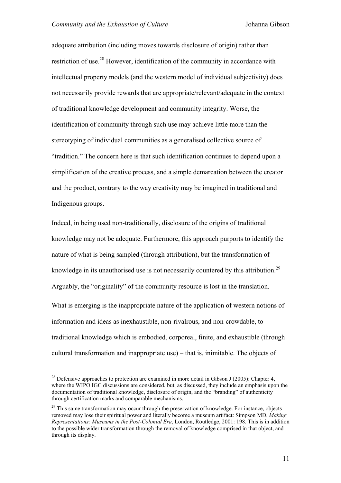adequate attribution (including moves towards disclosure of origin) rather than restriction of use.<sup>28</sup> However, identification of the community in accordance with intellectual property models (and the western model of individual subjectivity) does not necessarily provide rewards that are appropriate/relevant/adequate in the context of traditional knowledge development and community integrity. Worse, the identification of community through such use may achieve little more than the stereotyping of individual communities as a generalised collective source of "tradition." The concern here is that such identification continues to depend upon a simplification of the creative process, and a simple demarcation between the creator and the product, contrary to the way creativity may be imagined in traditional and Indigenous groups.

Indeed, in being used non-traditionally, disclosure of the origins of traditional knowledge may not be adequate. Furthermore, this approach purports to identify the nature of what is being sampled (through attribution), but the transformation of knowledge in its unauthorised use is not necessarily countered by this attribution.<sup>[29](#page-10-1)</sup> Arguably, the "originality" of the community resource is lost in the translation. What is emerging is the inappropriate nature of the application of western notions of information and ideas as inexhaustible, non-rivalrous, and non-crowdable, to traditional knowledge which is embodied, corporeal, finite, and exhaustible (through cultural transformation and inappropriate use) – that is, inimitable. The objects of

<span id="page-10-0"></span><sup>&</sup>lt;sup>28</sup> Defensive approaches to protection are examined in more detail in Gibson J (2005): Chapter 4, where the WIPO IGC discussions are considered, but, as discussed, they include an emphasis upon the documentation of traditional knowledge, disclosure of origin, and the "branding" of authenticity through certification marks and comparable mechanisms.

<span id="page-10-1"></span><sup>&</sup>lt;sup>29</sup> This same transformation may occur through the preservation of knowledge. For instance, objects removed may lose their spiritual power and literally become a museum artifact: Simpson MD, *Making Representations: Museums in the Post-Colonial Era*, London, Routledge, 2001: 198. This is in addition to the possible wider transformation through the removal of knowledge comprised in that object, and through its display.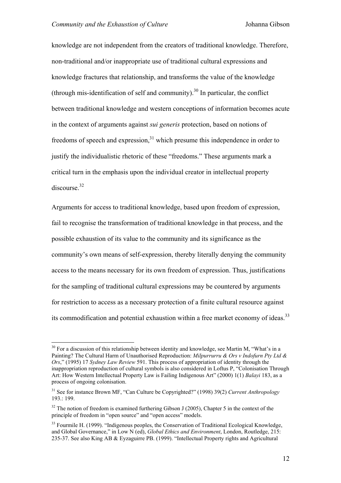$\overline{a}$ 

<span id="page-11-3"></span>knowledge are not independent from the creators of traditional knowledge. Therefore, non-traditional and/or inappropriate use of traditional cultural expressions and knowledge fractures that relationship, and transforms the value of the knowledge (through mis-identification of self and community).<sup>30</sup> In particular, the conflict between traditional knowledge and western conceptions of information becomes acute in the context of arguments against *sui generis* protection, based on notions of freedoms of speech and expression,<sup>31</sup> which presume this independence in order to justify the individualistic rhetoric of these "freedoms." These arguments mark a critical turn in the emphasis upon the individual creator in intellectual property discourse.<sup>32</sup>

Arguments for access to traditional knowledge, based upon freedom of expression, fail to recognise the transformation of traditional knowledge in that process, and the possible exhaustion of its value to the community and its significance as the community's own means of self-expression, thereby literally denying the community access to the means necessary for its own freedom of expression. Thus, justifications for the sampling of traditional cultural expressions may be countered by arguments for restriction to access as a necessary protection of a finite cultural resource against its commodification and potential exhaustion within a free market economy of ideas.<sup>[33](#page-11-3)</sup>

<span id="page-11-0"></span> $30$  For a discussion of this relationship between identity and knowledge, see Martin M, "What's in a Painting? The Cultural Harm of Unauthorised Reproduction: *Milpurrurru & Ors v Indofurn Pty Ltd & Ors*," (1995) 17 *Sydney Law Review* 591. This process of appropriation of identity through the inappropriation reproduction of cultural symbols is also considered in Loftus P, "Colonisation Through Art: How Western Intellectual Property Law is Failing Indigenous Art" (2000) 1(1) *Balayi* 183, as a process of ongoing colonisation.

<span id="page-11-1"></span><sup>31</sup> See for instance Brown MF, "Can Culture be Copyrighted?" (1998) 39(2) *Current Anthropology* 193.: 199.

<span id="page-11-2"></span> $32$  The notion of freedom is examined furthering Gibson J (2005), Chapter 5 in the context of the principle of freedom in "open source" and "open access" models.

<sup>&</sup>lt;sup>33</sup> Fourmile H. (1999). "Indigenous peoples, the Conservation of Traditional Ecological Knowledge, and Global Governance," in Low N (ed), *Global Ethics and Environment*, London, Routledge, 215: 235-37. See also King AB & Eyzaguirre PB. (1999). "Intellectual Property rights and Agricultural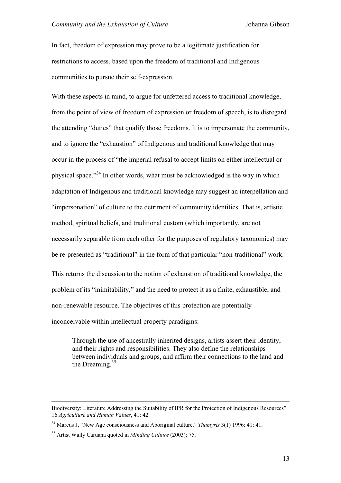In fact, freedom of expression may prove to be a legitimate justification for restrictions to access, based upon the freedom of traditional and Indigenous communities to pursue their self-expression.

With these aspects in mind, to argue for unfettered access to traditional knowledge, from the point of view of freedom of expression or freedom of speech, is to disregard the attending "duties" that qualify those freedoms. It is to impersonate the community, and to ignore the "exhaustion" of Indigenous and traditional knowledge that may occur in the process of "the imperial refusal to accept limits on either intellectual or physical space."[34](#page-12-0) In other words, what must be acknowledged is the way in which adaptation of Indigenous and traditional knowledge may suggest an interpellation and "impersonation" of culture to the detriment of community identities. That is, artistic method, spiritual beliefs, and traditional custom (which importantly, are not necessarily separable from each other for the purposes of regulatory taxonomies) may be re-presented as "traditional" in the form of that particular "non-traditional" work. This returns the discussion to the notion of exhaustion of traditional knowledge, the problem of its "inimitability," and the need to protect it as a finite, exhaustible, and non-renewable resource. The objectives of this protection are potentially inconceivable within intellectual property paradigms:

Through the use of ancestrally inherited designs, artists assert their identity, and their rights and responsibilities. They also define the relationships between individuals and groups, and affirm their connections to the land and the Dreaming<sup>[35](#page-12-1)</sup>

Biodiversity: Literature Addressing the Suitability of IPR for the Protection of Indigenous Resources" 16 *Agriculture and Human Values*, 41: 42.

<span id="page-12-0"></span><sup>34</sup> Marcus J, "New Age consciousness and Aboriginal culture," *Thamyris* 3(1) 1996: 41: 41.

<span id="page-12-1"></span><sup>35</sup> Artist Wally Caruana quoted in *Minding Culture* (2003): 75.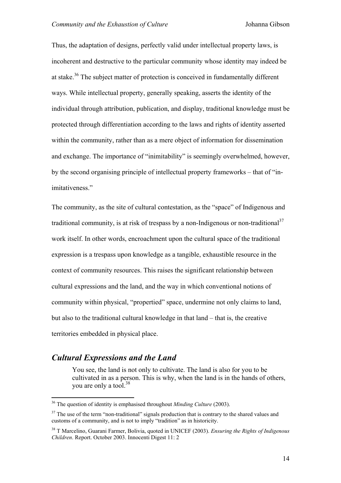Thus, the adaptation of designs, perfectly valid under intellectual property laws, is incoherent and destructive to the particular community whose identity may indeed be at stake.[36](#page-13-0) The subject matter of protection is conceived in fundamentally different ways. While intellectual property, generally speaking, asserts the identity of the individual through attribution, publication, and display, traditional knowledge must be protected through differentiation according to the laws and rights of identity asserted within the community, rather than as a mere object of information for dissemination and exchange. The importance of "inimitability" is seemingly overwhelmed, however, by the second organising principle of intellectual property frameworks – that of "inimitativeness."

The community, as the site of cultural contestation, as the "space" of Indigenous and traditional community, is at risk of trespass by a non-Indigenous or non-traditional<sup>37</sup> work itself. In other words, encroachment upon the cultural space of the traditional expression is a trespass upon knowledge as a tangible, exhaustible resource in the context of community resources. This raises the significant relationship between cultural expressions and the land, and the way in which conventional notions of community within physical, "propertied" space, undermine not only claims to land, but also to the traditional cultural knowledge in that land – that is, the creative territories embedded in physical place.

# *Cultural Expressions and the Land*

 $\overline{a}$ 

You see, the land is not only to cultivate. The land is also for you to be cultivated in as a person. This is why, when the land is in the hands of others, you are only a tool.<sup>38</sup>

<span id="page-13-0"></span><sup>36</sup> The question of identity is emphasised throughout *Minding Culture* (2003).

<span id="page-13-1"></span><sup>&</sup>lt;sup>37</sup> The use of the term "non-traditional" signals production that is contrary to the shared values and customs of a community, and is not to imply "tradition" as in historicity.

<span id="page-13-2"></span><sup>38</sup> T Marcelino, Guarani Farmer, Bolivia, quoted in UNICEF (2003). *Ensuring the Rights of Indigenous Children*. Report. October 2003. Innocenti Digest 11: 2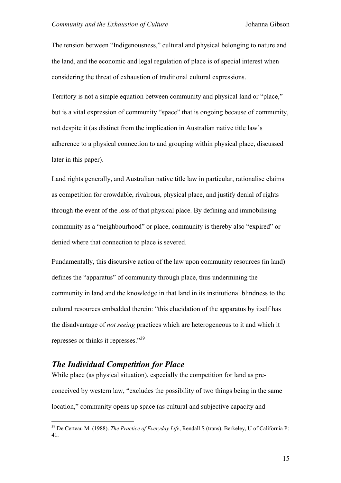The tension between "Indigenousness," cultural and physical belonging to nature and the land, and the economic and legal regulation of place is of special interest when considering the threat of exhaustion of traditional cultural expressions.

Territory is not a simple equation between community and physical land or "place," but is a vital expression of community "space" that is ongoing because of community, not despite it (as distinct from the implication in Australian native title law's adherence to a physical connection to and grouping within physical place, discussed later in this paper).

Land rights generally, and Australian native title law in particular, rationalise claims as competition for crowdable, rivalrous, physical place, and justify denial of rights through the event of the loss of that physical place. By defining and immobilising community as a "neighbourhood" or place, community is thereby also "expired" or denied where that connection to place is severed.

Fundamentally, this discursive action of the law upon community resources (in land) defines the "apparatus" of community through place, thus undermining the community in land and the knowledge in that land in its institutional blindness to the cultural resources embedded therein: "this elucidation of the apparatus by itself has the disadvantage of *not seeing* practices which are heterogeneous to it and which it represses or thinks it represses."[39](#page-14-0)

# *The Individual Competition for Place*

 $\overline{a}$ 

While place (as physical situation), especially the competition for land as preconceived by western law, "excludes the possibility of two things being in the same location," community opens up space (as cultural and subjective capacity and

<span id="page-14-0"></span><sup>39</sup> De Certeau M. (1988). *The Practice of Everyday Life*, Rendall S (trans), Berkeley, U of California P: 41.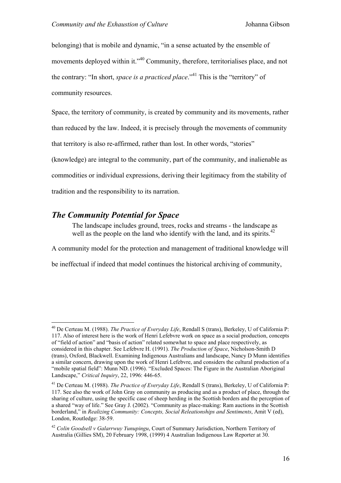belonging) that is mobile and dynamic, "in a sense actuated by the ensemble of movements deployed within it."[40](#page-15-0) Community, therefore, territorialises place, and not the contrary: "In short, *space is a practiced place*."[41](#page-15-1) This is the "territory" of community resources.

Space, the territory of community, is created by community and its movements, rather than reduced by the law. Indeed, it is precisely through the movements of community that territory is also re-affirmed, rather than lost. In other words, "stories" (knowledge) are integral to the community, part of the community, and inalienable as commodities or individual expressions, deriving their legitimacy from the stability of tradition and the responsibility to its narration.

# *The Community Potential for Space*

 $\overline{a}$ 

The landscape includes ground, trees, rocks and streams - the landscape as well as the people on the land who identify with the land, and its spirits.<sup> $42$ </sup>

A community model for the protection and management of traditional knowledge will

be ineffectual if indeed that model continues the historical archiving of community,

<span id="page-15-0"></span><sup>40</sup> De Certeau M. (1988). *The Practice of Everyday Life*, Rendall S (trans), Berkeley, U of California P: 117. Also of interest here is the work of Henri Lefebvre work on space as a social production, concepts of "field of action" and "basis of action" related somewhat to space and place respectively, as considered in this chapter. See Lefebvre H. (1991). *The Production of Space*, Nicholson-Smith D (trans), Oxford, Blackwell. Examining Indigenous Australians and landscape, Nancy D Munn identifies a similar concern, drawing upon the work of Henri Lefebvre, and considers the cultural production of a "mobile spatial field": Munn ND. (1996). "Excluded Spaces: The Figure in the Australian Aboriginal Landscape," *Critical Inquiry*, 22, 1996: 446-65.

<span id="page-15-1"></span><sup>41</sup> De Certeau M. (1988). *The Practice of Everyday Life*, Rendall S (trans), Berkeley, U of California P: 117. See also the work of John Gray on community as producing and as a product of place, through the sharing of culture, using the specific case of sheep herding in the Scottish borders and the perception of a shared "way of life." See Gray J. (2002). "Community as place-making: Ram auctions in the Scottish borderland," in *Realizing Community: Concepts, Social Releationships and Sentiments*, Amit V (ed), London, Routledge: 38-59.

<span id="page-15-2"></span><sup>42</sup> *Colin Goodsell v Galarrwuy Yunupingu*, Court of Summary Jurisdiction, Northern Territory of Australia (Gillies SM), 20 February 1998, (1999) 4 Australian Indigenous Law Reporter at 30.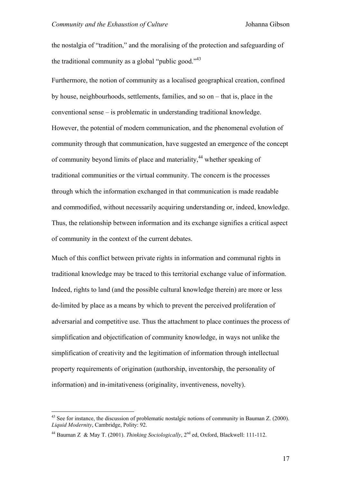the nostalgia of "tradition," and the moralising of the protection and safeguarding of the traditional community as a global "public good." $43$ 

Furthermore, the notion of community as a localised geographical creation, confined by house, neighbourhoods, settlements, families, and so on – that is, place in the conventional sense – is problematic in understanding traditional knowledge. However, the potential of modern communication, and the phenomenal evolution of community through that communication, have suggested an emergence of the concept of community beyond limits of place and materiality,<sup>44</sup> whether speaking of traditional communities or the virtual community. The concern is the processes through which the information exchanged in that communication is made readable and commodified, without necessarily acquiring understanding or, indeed, knowledge. Thus, the relationship between information and its exchange signifies a critical aspect of community in the context of the current debates.

Much of this conflict between private rights in information and communal rights in traditional knowledge may be traced to this territorial exchange value of information. Indeed, rights to land (and the possible cultural knowledge therein) are more or less de-limited by place as a means by which to prevent the perceived proliferation of adversarial and competitive use. Thus the attachment to place continues the process of simplification and objectification of community knowledge, in ways not unlike the simplification of creativity and the legitimation of information through intellectual property requirements of origination (authorship, inventorship, the personality of information) and in-imitativeness (originality, inventiveness, novelty).

<span id="page-16-0"></span> $43$  See for instance, the discussion of problematic nostalgic notions of community in Bauman Z. (2000). *Liquid Modernity*, Cambridge, Polity: 92.

<span id="page-16-1"></span><sup>44</sup> Bauman Z & May T. (2001). *Thinking Sociologically*, 2nd ed, Oxford, Blackwell: 111-112.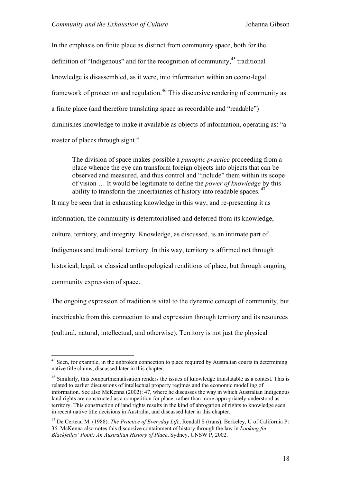In the emphasis on finite place as distinct from community space, both for the definition of "Indigenous" and for the recognition of community,  $45$  traditional knowledge is disassembled, as it were, into information within an econo-legal framework of protection and regulation.<sup>46</sup> This discursive rendering of community as a finite place (and therefore translating space as recordable and "readable") diminishes knowledge to make it available as objects of information, operating as: "a master of places through sight."

The division of space makes possible a *panoptic practice* proceeding from a place whence the eye can transform foreign objects into objects that can be observed and measured, and thus control and "include" them within its scope of vision … It would be legitimate to define the *power of knowledge* by this ability to transform the uncertainties of history into readable spaces.  $47$ 

It may be seen that in exhausting knowledge in this way, and re-presenting it as

information, the community is deterritorialised and deferred from its knowledge,

culture, territory, and integrity. Knowledge, as discussed, is an intimate part of

Indigenous and traditional territory. In this way, territory is affirmed not through

historical, legal, or classical anthropological renditions of place, but through ongoing

community expression of space.

 $\overline{a}$ 

The ongoing expression of tradition is vital to the dynamic concept of community, but inextricable from this connection to and expression through territory and its resources (cultural, natural, intellectual, and otherwise). Territory is not just the physical

<span id="page-17-0"></span><sup>&</sup>lt;sup>45</sup> Seen, for example, in the unbroken connection to place required by Australian courts in determining native title claims, discussed later in this chapter.

<span id="page-17-1"></span><sup>&</sup>lt;sup>46</sup> Similarly, this compartmentalisation renders the issues of knowledge translatable as a contest. This is related to earlier discussions of intellectual property regimes and the economic modelling of information. See also McKenna (2002): 47, where he discusses the way in which Australian Indigenous land rights are constructed as a competition for place, rather than more appropriately understood as territory. This construction of land rights results in the kind of abrogation of rights to knowledge seen in recent native title decisions in Australia, and discussed later in this chapter.

<span id="page-17-2"></span><sup>47</sup> De Certeau M. (1988). *The Practice of Everyday Life*, Rendall S (trans), Berkeley, U of California P: 36. McKenna also notes this discursive containment of history through the law in *Looking for Blackfellas' Point: An Australian History of Place*, Sydney, UNSW P, 2002.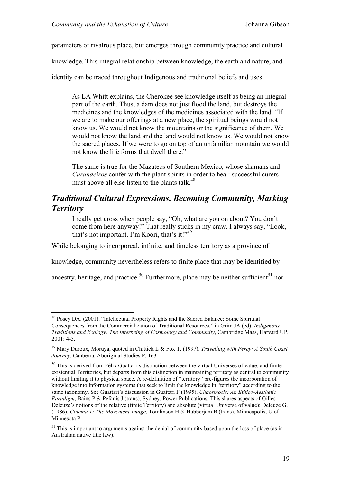$\overline{a}$ 

parameters of rivalrous place, but emerges through community practice and cultural

knowledge. This integral relationship between knowledge, the earth and nature, and

identity can be traced throughout Indigenous and traditional beliefs and uses:

As LA Whitt explains, the Cherokee see knowledge itself as being an integral part of the earth. Thus, a dam does not just flood the land, but destroys the medicines and the knowledges of the medicines associated with the land. "If we are to make our offerings at a new place, the spiritual beings would not know us. We would not know the mountains or the significance of them. We would not know the land and the land would not know us. We would not know the sacred places. If we were to go on top of an unfamiliar mountain we would not know the life forms that dwell there."

The same is true for the Mazatecs of Southern Mexico, whose shamans and *Curandeiros* confer with the plant spirits in order to heal: successful curers must above all else listen to the plants talk.<sup>[48](#page-18-0)</sup>

# *Traditional Cultural Expressions, Becoming Community, Marking Territory*

I really get cross when people say, "Oh, what are you on about? You don't come from here anyway!" That really sticks in my craw. I always say, "Look, that's not important. I'm Koori, that's it!" $49$ 

While belonging to incorporeal, infinite, and timeless territory as a province of

knowledge, community nevertheless refers to finite place that may be identified by

ancestry, heritage, and practice.<sup>50</sup> Furthermore, place may be neither sufficient<sup>51</sup> nor

<span id="page-18-0"></span><sup>&</sup>lt;sup>48</sup> Posey DA. (2001). "Intellectual Property Rights and the Sacred Balance: Some Spiritual Consequences from the Commercialization of Traditional Resources," in Grim JA (ed), *Indigenous Traditions and Ecology: The Interbeing of Cosmology and Community*, Cambridge Mass, Harvard UP, 2001: 4-5.

<span id="page-18-1"></span><sup>49</sup> Mary Duroux, Moruya, quoted in Chittick L & Fox T. (1997). *Travelling with Percy: A South Coast Journey*, Canberra, Aboriginal Studies P: 163

<span id="page-18-2"></span><sup>&</sup>lt;sup>50</sup> This is derived from Félix Guattari's distinction between the virtual Universes of value, and finite existential Territories, but departs from this distinction in maintaining territory as central to community without limiting it to physical space. A re-definition of "territory" pre-figures the incorporation of knowledge into information systems that seek to limit the knowledge in "territory" according to the same taxonomy. See Guattari's discussion in Guattari F (1995). *Chaosmosis: An Ethico-Aesthetic Paradigm*, Bains P & Pefanis J (trans), Sydney, Power Publications. This shares aspects of Gilles Deleuze's notions of the relative (finite Territory) and absolute (virtual Universe of value): Deleuze G. (1986). *Cinema 1: The Movement-Image*, Tomlinson H & Habberjam B (trans), Minneapolis, U of Minnesota P.

<span id="page-18-3"></span> $<sup>51</sup>$  This is important to arguments against the denial of community based upon the loss of place (as in</sup> Australian native title law).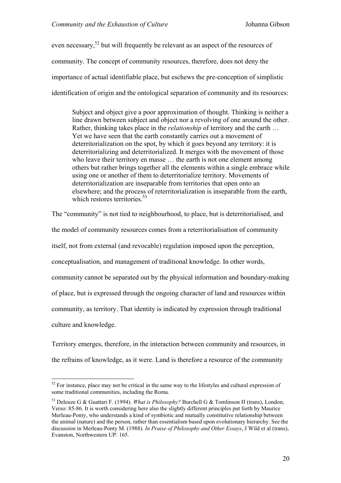even necessary,<sup>52</sup> but will frequently be relevant as an aspect of the resources of community. The concept of community resources, therefore, does not deny the importance of actual identifiable place, but eschews the pre-conception of simplistic identification of origin and the ontological separation of community and its resources:

Subject and object give a poor approximation of thought. Thinking is neither a line drawn between subject and object nor a revolving of one around the other. Rather, thinking takes place in the *relationship* of territory and the earth … Yet we have seen that the earth constantly carries out a movement of deterritorialization on the spot, by which it goes beyond any territory: it is deterritorializing and deterritorialized. It merges with the movement of those who leave their territory en masse … the earth is not one element among others but rather brings together all the elements within a single embrace while using one or another of them to deterritorialize territory. Movements of deterritorialization are inseparable from territories that open onto an elsewhere; and the process of reterritorialization is inseparable from the earth, which restores territories  $53$ 

The "community" is not tied to neighbourhood, to place, but is deterritorialised, and

the model of community resources comes from a reterritorialisation of community

itself, not from external (and revocable) regulation imposed upon the perception,

conceptualisation, and management of traditional knowledge. In other words,

community cannot be separated out by the physical information and boundary-making

of place, but is expressed through the ongoing character of land and resources within

community, as territory. That identity is indicated by expression through traditional

culture and knowledge.

Territory emerges, therefore, in the interaction between community and resources, in

the refrains of knowledge, as it were. Land is therefore a resource of the community

<span id="page-19-0"></span> $\overline{a}$  $52$  For instance, place may not be critical in the same way to the lifestyles and cultural expression of some traditional communities, including the Roma.

<span id="page-19-1"></span><sup>53</sup> Deleuze G & Guattari F. (1994). *What is Philosophy?* Burchell G & Tomlinson H (trans), London, Verso: 85-86. It is worth considering here also the slightly different principles put forth by Maurice Merleau-Ponty, who understands a kind of symbiotic and mutually constitutive relationship between the animal (nature) and the person, rather than essentialism based upon evolutionary hierarchy. See the discussion in Merleau-Ponty M. (1988). *In Praise of Philosophy and Other Essays*, J Wild et al (trans), Evanston, Northwestern UP: 165.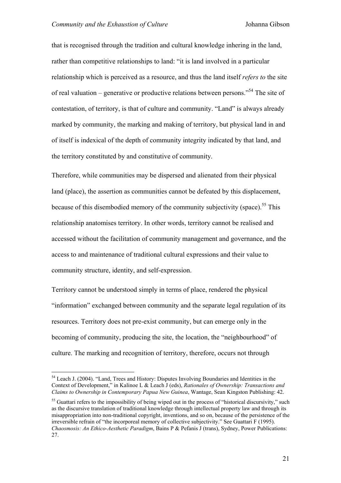that is recognised through the tradition and cultural knowledge inhering in the land, rather than competitive relationships to land: "it is land involved in a particular relationship which is perceived as a resource, and thus the land itself *refers to* the site of real valuation – generative or productive relations between persons."[54 T](#page-20-0)he site of contestation, of territory, is that of culture and community. "Land" is always already marked by community, the marking and making of territory, but physical land in and of itself is indexical of the depth of community integrity indicated by that land, and the territory constituted by and constitutive of community.

Therefore, while communities may be dispersed and alienated from their physical land (place), the assertion as communities cannot be defeated by this displacement, because of this disembodied memory of the community subjectivity (space).<sup>55</sup> This relationship anatomises territory. In other words, territory cannot be realised and accessed without the facilitation of community management and governance, and the access to and maintenance of traditional cultural expressions and their value to community structure, identity, and self-expression.

Territory cannot be understood simply in terms of place, rendered the physical "information" exchanged between community and the separate legal regulation of its resources. Territory does not pre-exist community, but can emerge only in the becoming of community, producing the site, the location, the "neighbourhood" of culture. The marking and recognition of territory, therefore, occurs not through

<span id="page-20-0"></span><sup>&</sup>lt;sup>54</sup> Leach J. (2004). "Land, Trees and History: Disputes Involving Boundaries and Identities in the Context of Development," in Kalinoe L & Leach J (eds), *Rationales of Ownership: Transactions and Claims to Ownership in Contemporary Papua New Guinea*, Wantage, Sean Kingston Publishing: 42.

<span id="page-20-1"></span><sup>&</sup>lt;sup>55</sup> Guattari refers to the impossibility of being wiped out in the process of "historical discursivity," such as the discursive translation of traditional knowledge through intellectual property law and through its misappropriation into non-traditional copyright, inventions, and so on, because of the persistence of the irreversible refrain of "the incorporeal memory of collective subjectivity." See Guattari F (1995). *Chaosmosis: An Ethico-Aesthetic Paradigm*, Bains P & Pefanis J (trans), Sydney, Power Publications: 27.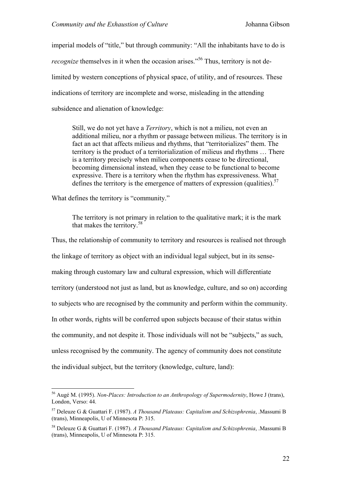imperial models of "title," but through community: "All the inhabitants have to do is *recognize* themselves in it when the occasion arises."<sup>56</sup> Thus, territory is not delimited by western conceptions of physical space, of utility, and of resources. These indications of territory are incomplete and worse, misleading in the attending subsidence and alienation of knowledge:

Still, we do not yet have a *Territory*, which is not a milieu, not even an additional milieu, nor a rhythm or passage between milieus. The territory is in fact an act that affects milieus and rhythms, that "territorializes" them. The territory is the product of a territorialization of milieus and rhythms … There is a territory precisely when milieu components cease to be directional, becoming dimensional instead, when they cease to be functional to become expressive. There is a territory when the rhythm has expressiveness. What defines the territory is the emergence of matters of expression (qualities).<sup>[57](#page-21-1)</sup>

What defines the territory is "community."

 $\overline{a}$ 

The territory is not primary in relation to the qualitative mark; it is the mark that makes the territory.[58](#page-21-2)

Thus, the relationship of community to territory and resources is realised not through the linkage of territory as object with an individual legal subject, but in its sensemaking through customary law and cultural expression, which will differentiate territory (understood not just as land, but as knowledge, culture, and so on) according to subjects who are recognised by the community and perform within the community. In other words, rights will be conferred upon subjects because of their status within the community, and not despite it. Those individuals will not be "subjects," as such, unless recognised by the community. The agency of community does not constitute the individual subject, but the territory (knowledge, culture, land):

<span id="page-21-0"></span><sup>56</sup> Augé M. (1995). *Non-Places: Introduction to an Anthropology of Supermodernity*, Howe J (trans), London, Verso: 44.

<span id="page-21-1"></span><sup>57</sup> Deleuze G & Guattari F. (1987). *A Thousand Plateaus: Capitalism and Schizophrenia*, .Massumi B (trans), Minneapolis, U of Minnesota P: 315.

<span id="page-21-2"></span><sup>58</sup> Deleuze G & Guattari F. (1987). *A Thousand Plateaus: Capitalism and Schizophrenia*, .Massumi B (trans), Minneapolis, U of Minnesota P: 315.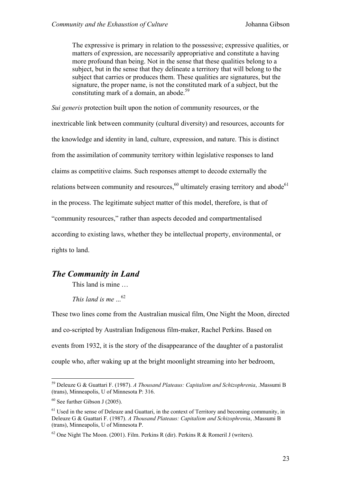The expressive is primary in relation to the possessive; expressive qualities, or matters of expression, are necessarily appropriative and constitute a having more profound than being. Not in the sense that these qualities belong to a subject, but in the sense that they delineate a territory that will belong to the subject that carries or produces them. These qualities are signatures, but the signature, the proper name, is not the constituted mark of a subject, but the constituting mark of a domain, an abode.<sup>[59](#page-22-0)</sup>

*Sui generis* protection built upon the notion of community resources, or the inextricable link between community (cultural diversity) and resources, accounts for the knowledge and identity in land, culture, expression, and nature. This is distinct from the assimilation of community territory within legislative responses to land claims as competitive claims. Such responses attempt to decode externally the relations between community and resources, $60$  ultimately erasing territory and abode $61$ in the process. The legitimate subject matter of this model, therefore, is that of "community resources," rather than aspects decoded and compartmentalised according to existing laws, whether they be intellectual property, environmental, or rights to land.

# *The Community in Land*

This land is mine …

*This land is me*  $\ldots$ <sup>62</sup>

These two lines come from the Australian musical film, One Night the Moon, directed and co-scripted by Australian Indigenous film-maker, Rachel Perkins. Based on events from 1932, it is the story of the disappearance of the daughter of a pastoralist couple who, after waking up at the bright moonlight streaming into her bedroom,

<span id="page-22-0"></span><sup>59</sup> Deleuze G & Guattari F. (1987). *A Thousand Plateaus: Capitalism and Schizophrenia*, .Massumi B (trans), Minneapolis, U of Minnesota P: 316.

<span id="page-22-1"></span> $60$  See further Gibson J (2005).

<span id="page-22-2"></span> $<sup>61</sup>$  Used in the sense of Deleuze and Guattari, in the context of Territory and becoming community, in</sup> Deleuze G & Guattari F. (1987). *A Thousand Plateaus: Capitalism and Schizophrenia*, .Massumi B (trans), Minneapolis, U of Minnesota P.

<span id="page-22-3"></span> $62$  One Night The Moon. (2001). Film. Perkins R (dir). Perkins R & Romeril J (writers).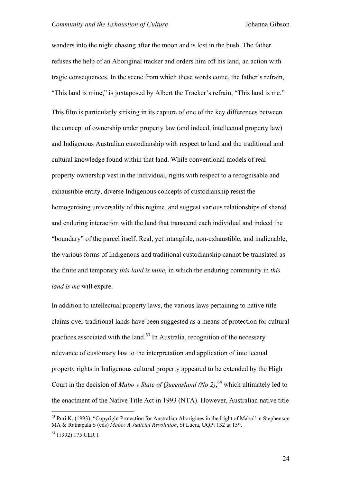wanders into the night chasing after the moon and is lost in the bush. The father refuses the help of an Aboriginal tracker and orders him off his land, an action with tragic consequences. In the scene from which these words come, the father's refrain, "This land is mine," is juxtaposed by Albert the Tracker's refrain, "This land is me." This film is particularly striking in its capture of one of the key differences between the concept of ownership under property law (and indeed, intellectual property law) and Indigenous Australian custodianship with respect to land and the traditional and cultural knowledge found within that land. While conventional models of real property ownership vest in the individual, rights with respect to a recognisable and exhaustible entity, diverse Indigenous concepts of custodianship resist the homogenising universality of this regime, and suggest various relationships of shared and enduring interaction with the land that transcend each individual and indeed the "boundary" of the parcel itself. Real, yet intangible, non-exhaustible, and inalienable, the various forms of Indigenous and traditional custodianship cannot be translated as the finite and temporary *this land is mine*, in which the enduring community in *this land is me* will expire.

In addition to intellectual property laws, the various laws pertaining to native title claims over traditional lands have been suggested as a means of protection for cultural practices associated with the land.<sup>63</sup> In Australia, recognition of the necessary relevance of customary law to the interpretation and application of intellectual property rights in Indigenous cultural property appeared to be extended by the High Court in the decision of *Mabo v State of Queensland (No 2)*, [64 w](#page-23-1)hich ultimately led to the enactment of the Native Title Act in 1993 (NTA). However, Australian native title

<span id="page-23-0"></span><sup>&</sup>lt;sup>63</sup> Puri K. (1993). "Copyright Protection for Australian Aborigines in the Light of Mabo" in Stephenson MA & Ratnapala S (eds) *Mabo: A Judicial Revolution*, St Lucia, UQP: 132 at 159.

<span id="page-23-1"></span><sup>64 (1992) 175</sup> CLR 1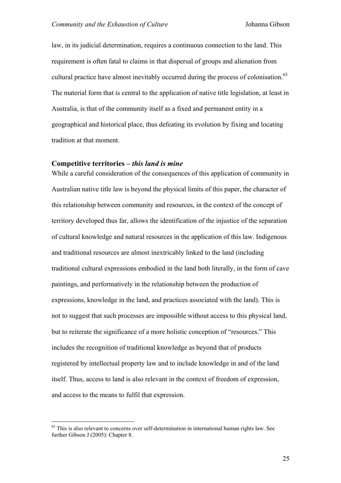law, in its judicial determination, requires a continuous connection to the land. This requirement is often fatal to claims in that dispersal of groups and alienation from cultural practice have almost inevitably occurred during the process of colonisation.<sup>[65](#page-24-0)</sup> The material form that is central to the application of native title legislation, at least in Australia, is that of the community itself as a fixed and permanent entity in a geographical and historical place, thus defeating its evolution by fixing and locating tradition at that moment.

#### **Competitive territories –** *this land is mine*

While a careful consideration of the consequences of this application of community in Australian native title law is beyond the physical limits of this paper, the character of this relationship between community and resources, in the context of the concept of territory developed thus far, allows the identification of the injustice of the separation of cultural knowledge and natural resources in the application of this law. Indigenous and traditional resources are almost inextricably linked to the land (including traditional cultural expressions embodied in the land both literally, in the form of cave paintings, and performatively in the relationship between the production of expressions, knowledge in the land, and practices associated with the land). This is not to suggest that such processes are impossible without access to this physical land, but to reiterate the significance of a more holistic conception of "resources." This includes the recognition of traditional knowledge as beyond that of products registered by intellectual property law and to include knowledge in and of the land itself. Thus, access to land is also relevant in the context of freedom of expression, and access to the means to fulfil that expression.

<span id="page-24-0"></span> $65$  This is also relevant to concerns over self-determination in international human rights law. See further Gibson J (2005): Chapter 8.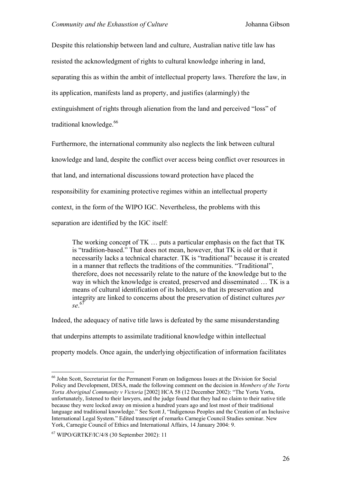Despite this relationship between land and culture, Australian native title law has resisted the acknowledgment of rights to cultural knowledge inhering in land, separating this as within the ambit of intellectual property laws. Therefore the law, in its application, manifests land as property, and justifies (alarmingly) the extinguishment of rights through alienation from the land and perceived "loss" of traditional knowledge.<sup>66</sup>

Furthermore, the international community also neglects the link between cultural knowledge and land, despite the conflict over access being conflict over resources in that land, and international discussions toward protection have placed the responsibility for examining protective regimes within an intellectual property context, in the form of the WIPO IGC. Nevertheless, the problems with this separation are identified by the IGC itself:

The working concept of TK … puts a particular emphasis on the fact that TK is "tradition-based." That does not mean, however, that TK is old or that it necessarily lacks a technical character. TK is "traditional" because it is created in a manner that reflects the traditions of the communities. "Traditional", therefore, does not necessarily relate to the nature of the knowledge but to the way in which the knowledge is created, preserved and disseminated … TK is a means of cultural identification of its holders, so that its preservation and integrity are linked to concerns about the preservation of distinct cultures *per se*. [67](#page-25-1)

Indeed, the adequacy of native title laws is defeated by the same misunderstanding that underpins attempts to assimilate traditional knowledge within intellectual property models. Once again, the underlying objectification of information facilitates

<span id="page-25-0"></span><sup>&</sup>lt;sup>66</sup> John Scott, Secretariat for the Permanent Forum on Indigenous Issues at the Division for Social Policy and Development, DESA, made the following comment on the decision in *Members of the Yorta Yorta Aboriginal Community v Victoria* [2002] HCA 58 (12 December 2002): "The Yorta Yorta, unfortunately, listened to their lawyers, and the judge found that they had no claim to their native title because they were locked away on mission a hundred years ago and lost most of their traditional language and traditional knowledge." See Scott J, "Indigenous Peoples and the Creation of an Inclusive International Legal System." Edited transcript of remarks Carnegie Council Studies seminar. New York, Carnegie Council of Ethics and International Affairs, 14 January 2004: 9.

<span id="page-25-1"></span><sup>67</sup> WIPO/GRTKF/IC/4/8 (30 September 2002): 11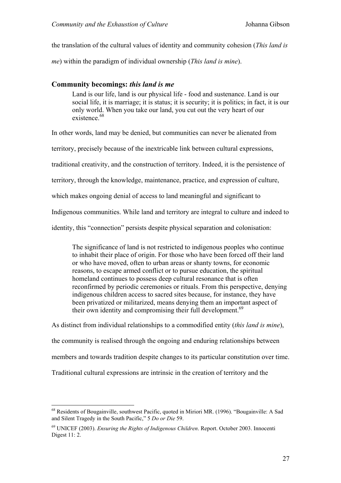the translation of the cultural values of identity and community cohesion (*This land is* 

*me*) within the paradigm of individual ownership (*This land is mine*).

#### **Community becomings:** *this land is me*

Land is our life, land is our physical life - food and sustenance. Land is our social life, it is marriage; it is status; it is security; it is politics; in fact, it is our only world. When you take our land, you cut out the very heart of our  $e^{i\theta}$ 

In other words, land may be denied, but communities can never be alienated from

territory, precisely because of the inextricable link between cultural expressions,

traditional creativity, and the construction of territory. Indeed, it is the persistence of

territory, through the knowledge, maintenance, practice, and expression of culture,

which makes ongoing denial of access to land meaningful and significant to

Indigenous communities. While land and territory are integral to culture and indeed to

identity, this "connection" persists despite physical separation and colonisation:

The significance of land is not restricted to indigenous peoples who continue to inhabit their place of origin. For those who have been forced off their land or who have moved, often to urban areas or shanty towns, for economic reasons, to escape armed conflict or to pursue education, the spiritual homeland continues to possess deep cultural resonance that is often reconfirmed by periodic ceremonies or rituals. From this perspective, denying indigenous children access to sacred sites because, for instance, they have been privatized or militarized, means denying them an important aspect of their own identity and compromising their full development.<sup>[69](#page-26-1)</sup>

As distinct from individual relationships to a commodified entity (*this land is mine*), the community is realised through the ongoing and enduring relationships between members and towards tradition despite changes to its particular constitution over time. Traditional cultural expressions are intrinsic in the creation of territory and the

<span id="page-26-0"></span> $68$  Residents of Bougainville, southwest Pacific, quoted in Miriori MR. (1996). "Bougainville: A Sad and Silent Tragedy in the South Pacific," 5 *Do or Die* 59.

<span id="page-26-1"></span><sup>69</sup> UNICEF (2003). *Ensuring the Rights of Indigenous Children*. Report. October 2003. Innocenti Digest 11: 2.